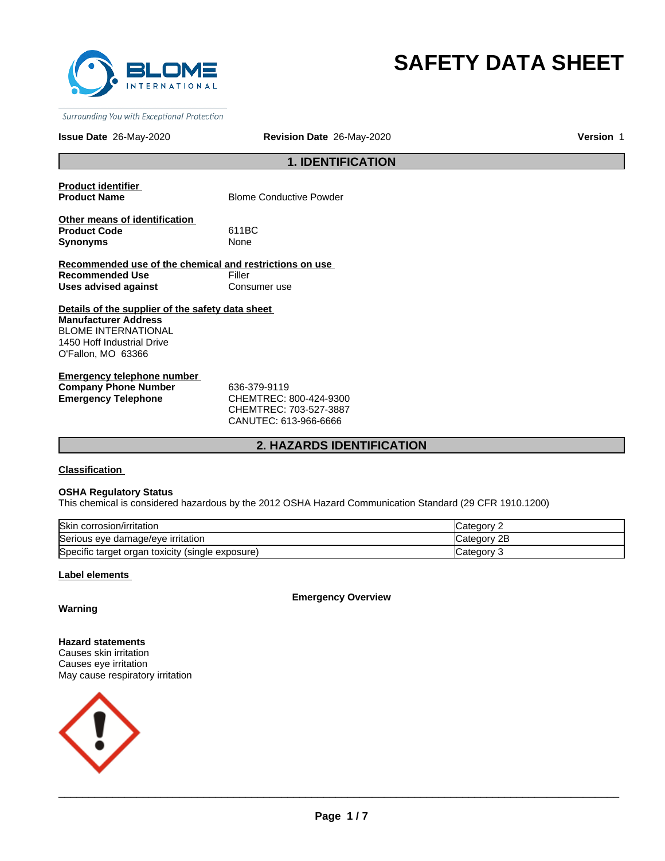

# **SAFETY DATA SHEET**

Surrounding You with Exceptional Protection

### **Issue Date** 26-May-2020 **Revision Date** 26-May-2020 **Version** 1

### **1. IDENTIFICATION**

**Product identifier** 

**Blome Conductive Powder** 

**Other means of identification Product Code** 611BC Synonyms None

**Recommended use of the chemical and restrictions on use Recommended Use Filler Uses advised against Consumer use** 

**Details of the supplier of the safety data sheet Manufacturer Address** BLOME INTERNATIONAL 1450 Hoff Industrial Drive O'Fallon, MO 63366

**Emergency telephone number Company Phone Number 636-379-9119<br>
<b>Emergency Telephone CHEMTREC:** 

**Emergency Telephone** CHEMTREC: 800-424-9300 CHEMTREC: 703-527-3887 CANUTEC: 613-966-6666

### **2. HAZARDS IDENTIFICATION**

**Classification** 

#### **OSHA Regulatory Status**

This chemical is considered hazardous by the 2012 OSHA Hazard Communication Standard (29 CFR 1910.1200)

| <b>Skin</b><br>corrosion/irritation                      | aor            |
|----------------------------------------------------------|----------------|
| Serious eye damage/eye irritation                        | 2E<br>∵ategorس |
| Specific target organ<br>(single exposure)<br>i toxicity | ategorٽ        |

### **Label elements**

**Emergency Overview**

### **Warning**

**Hazard statements** Causes skin irritation Causes eye irritation May cause respiratory irritation

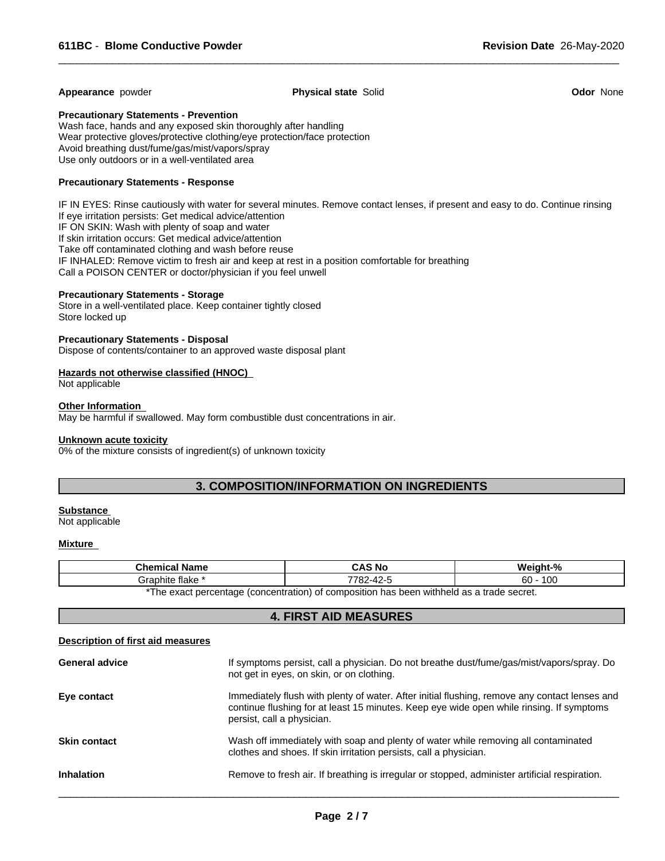### **Appearance** powder **Physical state** Solid **Odor** None

 $\overline{\phantom{a}}$  ,  $\overline{\phantom{a}}$  ,  $\overline{\phantom{a}}$  ,  $\overline{\phantom{a}}$  ,  $\overline{\phantom{a}}$  ,  $\overline{\phantom{a}}$  ,  $\overline{\phantom{a}}$  ,  $\overline{\phantom{a}}$  ,  $\overline{\phantom{a}}$  ,  $\overline{\phantom{a}}$  ,  $\overline{\phantom{a}}$  ,  $\overline{\phantom{a}}$  ,  $\overline{\phantom{a}}$  ,  $\overline{\phantom{a}}$  ,  $\overline{\phantom{a}}$  ,  $\overline{\phantom{a}}$ 

### **Precautionary Statements - Prevention**

Wash face, hands and any exposed skin thoroughly after handling Wear protective gloves/protective clothing/eye protection/face protection Avoid breathing dust/fume/gas/mist/vapors/spray Use only outdoors or in a well-ventilated area

### **Precautionary Statements - Response**

IF IN EYES: Rinse cautiously with water for several minutes. Remove contact lenses, if present and easy to do. Continue rinsing If eye irritation persists: Get medical advice/attention IF ON SKIN: Wash with plenty of soap and water If skin irritation occurs: Get medical advice/attention Take off contaminated clothing and wash before reuse IF INHALED: Remove victim to fresh air and keep at rest in a position comfortable for breathing Call a POISON CENTER or doctor/physician if you feel unwell

### **Precautionary Statements - Storage**

Store in a well-ventilated place. Keep container tightly closed Store locked up

### **Precautionary Statements - Disposal**

Dispose of contents/container to an approved waste disposal plant

### **Hazards not otherwise classified (HNOC)**

Not applicable

### **Other Information**

May be harmful if swallowed. May form combustible dust concentrations in air.

#### **Unknown acute toxicity**

0% of the mixture consists of ingredient(s) of unknown toxicity

### **3. COMPOSITION/INFORMATION ON INGREDIENTS**

### **Substance**

Not applicable

### **Mixture**

| <b>Chemical Name</b>         | CAS No                                                                                      | -07<br>Weiar         |
|------------------------------|---------------------------------------------------------------------------------------------|----------------------|
| iraphite<br>⊧ flake<br>الاات | 7700<br>″′′–∠ں .                                                                            | $\sim$<br>60<br>∣ ∪∪ |
|                              | $^*$ Tho exact perceptage (concentration) of compection has been withhold as a trade secret |                      |

The exact percentage (concentration) of composition has been withheld as a trade secret.

### **4. FIRST AID MEASURES**

#### **Description of first aid measures**

| <b>General advice</b> | If symptoms persist, call a physician. Do not breathe dust/fume/gas/mist/vapors/spray. Do<br>not get in eyes, on skin, or on clothing.                                                                                  |
|-----------------------|-------------------------------------------------------------------------------------------------------------------------------------------------------------------------------------------------------------------------|
| Eye contact           | Immediately flush with plenty of water. After initial flushing, remove any contact lenses and<br>continue flushing for at least 15 minutes. Keep eye wide open while rinsing. If symptoms<br>persist, call a physician. |
| <b>Skin contact</b>   | Wash off immediately with soap and plenty of water while removing all contaminated<br>clothes and shoes. If skin irritation persists, call a physician.                                                                 |
| <b>Inhalation</b>     | Remove to fresh air. If breathing is irregular or stopped, administer artificial respiration.                                                                                                                           |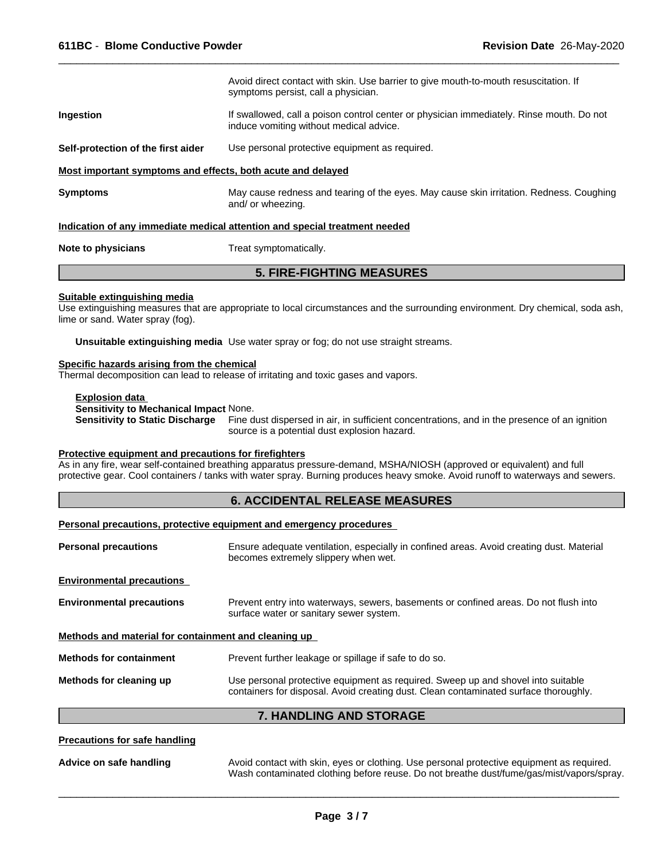Avoid direct contact with skin. Use barrier to give mouth-to-mouth resuscitation. If symptoms persist, call a physician. **Ingestion** If swallowed, call a poison control center or physician immediately. Rinse mouth. Do not induce vomiting without medical advice. **Self-protection of the first aider** Use personal protective equipment as required. **Most important symptoms and effects, both acute and delayed Symptoms** May cause redness and tearing of the eyes. May cause skin irritation. Redness. Coughing and/ or wheezing.

 $\overline{\phantom{a}}$  ,  $\overline{\phantom{a}}$  ,  $\overline{\phantom{a}}$  ,  $\overline{\phantom{a}}$  ,  $\overline{\phantom{a}}$  ,  $\overline{\phantom{a}}$  ,  $\overline{\phantom{a}}$  ,  $\overline{\phantom{a}}$  ,  $\overline{\phantom{a}}$  ,  $\overline{\phantom{a}}$  ,  $\overline{\phantom{a}}$  ,  $\overline{\phantom{a}}$  ,  $\overline{\phantom{a}}$  ,  $\overline{\phantom{a}}$  ,  $\overline{\phantom{a}}$  ,  $\overline{\phantom{a}}$ 

#### **Indication of any immediate medical attention and special treatment needed**

**Note to physicians** Treat symptomatically.

### **5. FIRE-FIGHTING MEASURES**

#### **Suitable extinguishing media**

Use extinguishing measures that are appropriate to local circumstances and the surrounding environment. Dry chemical, soda ash, lime or sand. Water spray (fog).

**Unsuitable extinguishing media** Use water spray or fog; do not use straight streams.

#### **Specific hazards arising from the chemical**

Thermal decomposition can lead to release of irritating and toxic gases and vapors.

#### **Explosion data Sensitivity to Mechanical Impact** None.

**Sensitivity to Static Discharge** Fine dust dispersed in air, in sufficient concentrations, and in the presence of an ignition source is a potential dust explosion hazard.

### **Protective equipment and precautions for firefighters**

As in any fire, wear self-contained breathing apparatus pressure-demand, MSHA/NIOSH (approved or equivalent) and full protective gear. Cool containers / tanks with water spray. Burning produces heavy smoke. Avoid runoff to waterways and sewers.

### **6. ACCIDENTAL RELEASE MEASURES**

### **Personal precautions, protective equipment and emergency procedures**

| <b>Personal precautions</b>                          | Ensure adequate ventilation, especially in confined areas. Avoid creating dust. Material<br>becomes extremely slippery when wet.                                         |
|------------------------------------------------------|--------------------------------------------------------------------------------------------------------------------------------------------------------------------------|
| <b>Environmental precautions</b>                     |                                                                                                                                                                          |
| <b>Environmental precautions</b>                     | Prevent entry into waterways, sewers, basements or confined areas. Do not flush into<br>surface water or sanitary sewer system.                                          |
| Methods and material for containment and cleaning up |                                                                                                                                                                          |
| <b>Methods for containment</b>                       | Prevent further leakage or spillage if safe to do so.                                                                                                                    |
| Methods for cleaning up                              | Use personal protective equipment as required. Sweep up and shovel into suitable<br>containers for disposal. Avoid creating dust. Clean contaminated surface thoroughly. |
|                                                      | <b>7. HANDLING AND STORAGE</b>                                                                                                                                           |

#### **Precautions for safe handling**

**Advice on safe handling** Avoid contact with skin, eyes or clothing. Use personal protective equipment as required. Wash contaminated clothing before reuse. Do not breathe dust/fume/gas/mist/vapors/spray.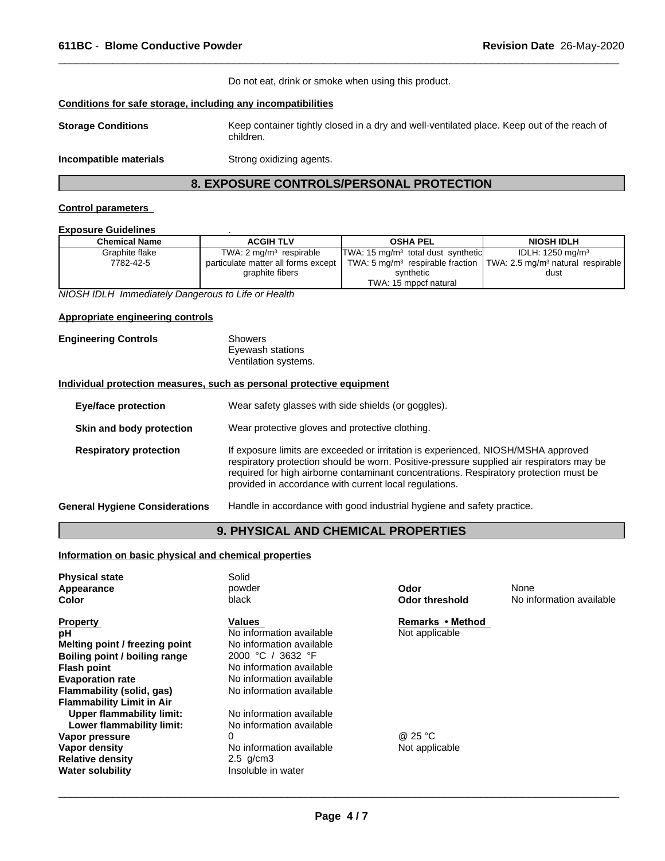Do not eat, drink or smoke when using this product.

 $\overline{\phantom{a}}$  ,  $\overline{\phantom{a}}$  ,  $\overline{\phantom{a}}$  ,  $\overline{\phantom{a}}$  ,  $\overline{\phantom{a}}$  ,  $\overline{\phantom{a}}$  ,  $\overline{\phantom{a}}$  ,  $\overline{\phantom{a}}$  ,  $\overline{\phantom{a}}$  ,  $\overline{\phantom{a}}$  ,  $\overline{\phantom{a}}$  ,  $\overline{\phantom{a}}$  ,  $\overline{\phantom{a}}$  ,  $\overline{\phantom{a}}$  ,  $\overline{\phantom{a}}$  ,  $\overline{\phantom{a}}$ 

### **Conditions for safe storage, including any incompatibilities**

| <b>Storage Conditions</b> | Keep container tightly closed in a dry and well-ventilated place. Keep out of the reach of<br>children. |
|---------------------------|---------------------------------------------------------------------------------------------------------|
|                           |                                                                                                         |

**Incompatible materials** Strong oxidizing agents.

### **8. EXPOSURE CONTROLS/PERSONAL PROTECTION**

### **Control parameters**

### **Exposure Guidelines** .

| <b>Chemical Name</b> | <b>ACGIH TLV</b>                    | <b>OSHA PEL</b>                                | <b>NIOSH IDLH</b>                                                                            |
|----------------------|-------------------------------------|------------------------------------------------|----------------------------------------------------------------------------------------------|
| Graphite flake       | TWA: $2 \text{ mg/m}^3$ respirable  | TWA: 15 mg/m <sup>3</sup> total dust synthetic | IDLH: 1250 mg/m $3$                                                                          |
| 7782-42-5            | particulate matter all forms except |                                                | TWA: 5 mg/m <sup>3</sup> respirable fraction   TWA: 2.5 mg/m <sup>3</sup> natural respirable |
|                      | graphite fibers                     | synthetic                                      | dust                                                                                         |
|                      |                                     | TWA: 15 mppcf natural                          |                                                                                              |

*NIOSH IDLH Immediately Dangerous to Life or Health*

### **Appropriate engineering controls**

### **Engineering Controls** Showers

| ᇦ៲៴៶៴៰៲៰ |                      |  |
|----------|----------------------|--|
|          | Eyewash stations     |  |
|          | Ventilation systems. |  |

### **Individual protection measures, such as personal protective equipment**

| <b>Eye/face protection</b>            | Wear safety glasses with side shields (or goggles).                                                                                                                                                                                                                                                                              |
|---------------------------------------|----------------------------------------------------------------------------------------------------------------------------------------------------------------------------------------------------------------------------------------------------------------------------------------------------------------------------------|
| Skin and body protection              | Wear protective gloves and protective clothing.                                                                                                                                                                                                                                                                                  |
| <b>Respiratory protection</b>         | If exposure limits are exceeded or irritation is experienced, NIOSH/MSHA approved<br>respiratory protection should be worn. Positive-pressure supplied air respirators may be<br>required for high airborne contaminant concentrations. Respiratory protection must be<br>provided in accordance with current local regulations. |
| <b>General Hygiene Considerations</b> | Handle in accordance with good industrial hygiene and safety practice.                                                                                                                                                                                                                                                           |

### **9. PHYSICAL AND CHEMICAL PROPERTIES**

### **Information on basic physical and chemical properties**

| <b>Physical state</b><br><b>Appearance</b><br>Color | Solid<br>powder<br>black | Odor<br><b>Odor threshold</b> | None<br>No information available |
|-----------------------------------------------------|--------------------------|-------------------------------|----------------------------------|
| <b>Property</b>                                     | Values                   | Remarks • Method              |                                  |
| рH                                                  | No information available | Not applicable                |                                  |
| Melting point / freezing point                      | No information available |                               |                                  |
| Boiling point / boiling range                       | 2000 °C / 3632 °F        |                               |                                  |
| <b>Flash point</b>                                  | No information available |                               |                                  |
| <b>Evaporation rate</b>                             | No information available |                               |                                  |
| Flammability (solid, gas)                           | No information available |                               |                                  |
| <b>Flammability Limit in Air</b>                    |                          |                               |                                  |
| Upper flammability limit:                           | No information available |                               |                                  |
| Lower flammability limit:                           | No information available |                               |                                  |
| Vapor pressure                                      |                          | @ 25 °C                       |                                  |
| Vapor density                                       | No information available | Not applicable                |                                  |
| <b>Relative density</b>                             | $2.5$ g/cm $3$           |                               |                                  |
| <b>Water solubility</b>                             | Insoluble in water       |                               |                                  |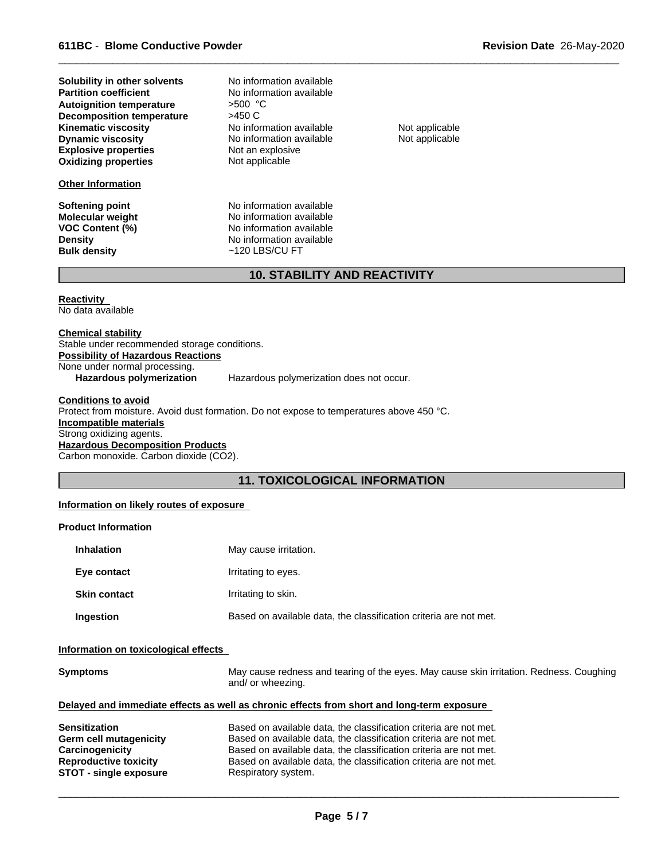| Solubility in other solvents     | No information available |           |
|----------------------------------|--------------------------|-----------|
| <b>Partition coefficient</b>     | No information available |           |
| <b>Autoignition temperature</b>  | $>500$ °C                |           |
| <b>Decomposition temperature</b> | >450 C                   |           |
| <b>Kinematic viscosity</b>       | No information available | Not appli |
| <b>Dynamic viscosity</b>         | No information available | Not appli |
| <b>Explosive properties</b>      | Not an explosive         |           |
| <b>Oxidizing properties</b>      | Not applicable           |           |

### **Other Information**

**Not an explosive Not applicable** No information available Not applicable No information available Not applicable **No information available**<br>>500 °C

**Softening point No information available**<br> **Molecular weight No information available Molecular weight** No information available<br> **VOC Content (%)** No information available **VOC Content (%)** No information available<br> **Density** No information available **Density** No information available<br> **Bulk density**  $\sim$  120 LBS/CU FT **Bulk density** ~120 LBS/CU FT

 $\overline{\phantom{a}}$  ,  $\overline{\phantom{a}}$  ,  $\overline{\phantom{a}}$  ,  $\overline{\phantom{a}}$  ,  $\overline{\phantom{a}}$  ,  $\overline{\phantom{a}}$  ,  $\overline{\phantom{a}}$  ,  $\overline{\phantom{a}}$  ,  $\overline{\phantom{a}}$  ,  $\overline{\phantom{a}}$  ,  $\overline{\phantom{a}}$  ,  $\overline{\phantom{a}}$  ,  $\overline{\phantom{a}}$  ,  $\overline{\phantom{a}}$  ,  $\overline{\phantom{a}}$  ,  $\overline{\phantom{a}}$ 

### **10. STABILITY AND REACTIVITY**

**Reactivity**  No data available

**Chemical stability** Stable under recommended storage conditions. **Possibility of Hazardous Reactions** None under normal processing. **Hazardous polymerization** Hazardous polymerization does not occur.

**Conditions to avoid** Protect from moisture. Avoid dust formation. Do not expose to temperatures above 450 °C. **Incompatible materials** Strong oxidizing agents. **Hazardous Decomposition Products** Carbon monoxide. Carbon dioxide (CO2).

### **11. TOXICOLOGICAL INFORMATION**

### **Information on likely routes of exposure**

### **Product Information**

| <b>Inhalation</b>   | May cause irritation.                                             |
|---------------------|-------------------------------------------------------------------|
| Eye contact         | Irritating to eyes.                                               |
| <b>Skin contact</b> | Irritating to skin.                                               |
| Ingestion           | Based on available data, the classification criteria are not met. |

### **Information on toxicological effects**

| <b>Symptoms</b>               | May cause redness and tearing of the eyes. May cause skin irritation. Redness. Coughing<br>and/ or wheezing. |
|-------------------------------|--------------------------------------------------------------------------------------------------------------|
|                               | Delayed and immediate effects as well as chronic effects from short and long-term exposure                   |
| <b>Sensitization</b>          | Based on available data, the classification criteria are not met.                                            |
| Germ cell mutagenicity        | Based on available data, the classification criteria are not met.                                            |
| Carcinogenicity               | Based on available data, the classification criteria are not met.                                            |
| <b>Reproductive toxicity</b>  | Based on available data, the classification criteria are not met.                                            |
| <b>STOT - single exposure</b> | Respiratory system.                                                                                          |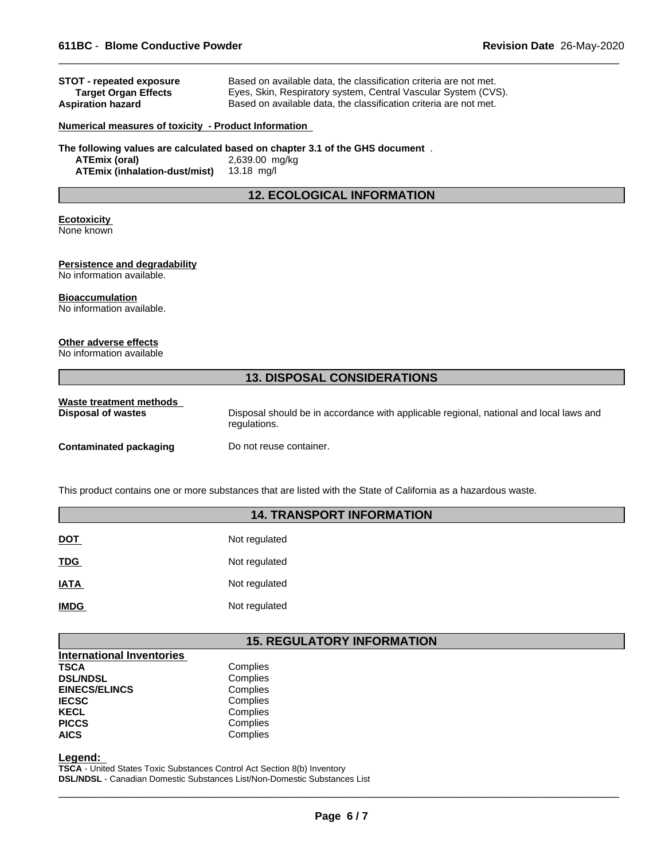| <b>STOT - repeated exposure</b><br><b>Target Organ Effects</b><br><b>Aspiration hazard</b> | Based on available data, the classification criteria are not met.<br>Eyes, Skin, Respiratory system, Central Vascular System (CVS).<br>Based on available data, the classification criteria are not met. |  |  |
|--------------------------------------------------------------------------------------------|----------------------------------------------------------------------------------------------------------------------------------------------------------------------------------------------------------|--|--|
| <b>Numerical measures of toxicity - Product Information</b>                                |                                                                                                                                                                                                          |  |  |
| <b>ATEmix (oral)</b><br><b>ATEmix (inhalation-dust/mist)</b>                               | The following values are calculated based on chapter 3.1 of the GHS document.<br>2,639.00 mg/kg<br>13.18 mg/l                                                                                            |  |  |
| <b>12. ECOLOGICAL INFORMATION</b>                                                          |                                                                                                                                                                                                          |  |  |
| <b>Ecotoxicity</b><br>None known                                                           |                                                                                                                                                                                                          |  |  |
| Persistence and degradability<br>No information available.                                 |                                                                                                                                                                                                          |  |  |
| <b>Bioaccumulation</b><br>No information available.                                        |                                                                                                                                                                                                          |  |  |
| Other adverse effects<br>No information available                                          |                                                                                                                                                                                                          |  |  |
| <b>13. DISPOSAL CONSIDERATIONS</b>                                                         |                                                                                                                                                                                                          |  |  |
| Waste treatment methods<br><b>Disposal of wastes</b>                                       | Disposal should be in accordance with applicable regional, national and local laws and<br>regulations.                                                                                                   |  |  |
| <b>Contaminated packaging</b>                                                              | Do not reuse container.                                                                                                                                                                                  |  |  |

 $\overline{\phantom{a}}$  ,  $\overline{\phantom{a}}$  ,  $\overline{\phantom{a}}$  ,  $\overline{\phantom{a}}$  ,  $\overline{\phantom{a}}$  ,  $\overline{\phantom{a}}$  ,  $\overline{\phantom{a}}$  ,  $\overline{\phantom{a}}$  ,  $\overline{\phantom{a}}$  ,  $\overline{\phantom{a}}$  ,  $\overline{\phantom{a}}$  ,  $\overline{\phantom{a}}$  ,  $\overline{\phantom{a}}$  ,  $\overline{\phantom{a}}$  ,  $\overline{\phantom{a}}$  ,  $\overline{\phantom{a}}$ 

This product contains one or more substances that are listed with the State of California as a hazardous waste.

### **14. TRANSPORT INFORMATION**

| <b>DOT</b>  | Not regulated |
|-------------|---------------|
| <b>TDG</b>  | Not regulated |
| <b>IATA</b> | Not regulated |
| <b>IMDG</b> | Not regulated |

## **15. REGULATORY INFORMATION**

| <b>International Inventories</b> |          |
|----------------------------------|----------|
| TSCA                             | Complies |
| <b>DSL/NDSL</b>                  | Complies |
| <b>EINECS/ELINCS</b>             | Complies |
| <b>IECSC</b>                     | Complies |
| KECL                             | Complies |
| <b>PICCS</b>                     | Complies |
| <b>AICS</b>                      | Complies |
|                                  |          |

**Legend:** 

**TSCA** - United States Toxic Substances Control Act Section 8(b) Inventory **DSL/NDSL** - Canadian Domestic Substances List/Non-Domestic Substances List